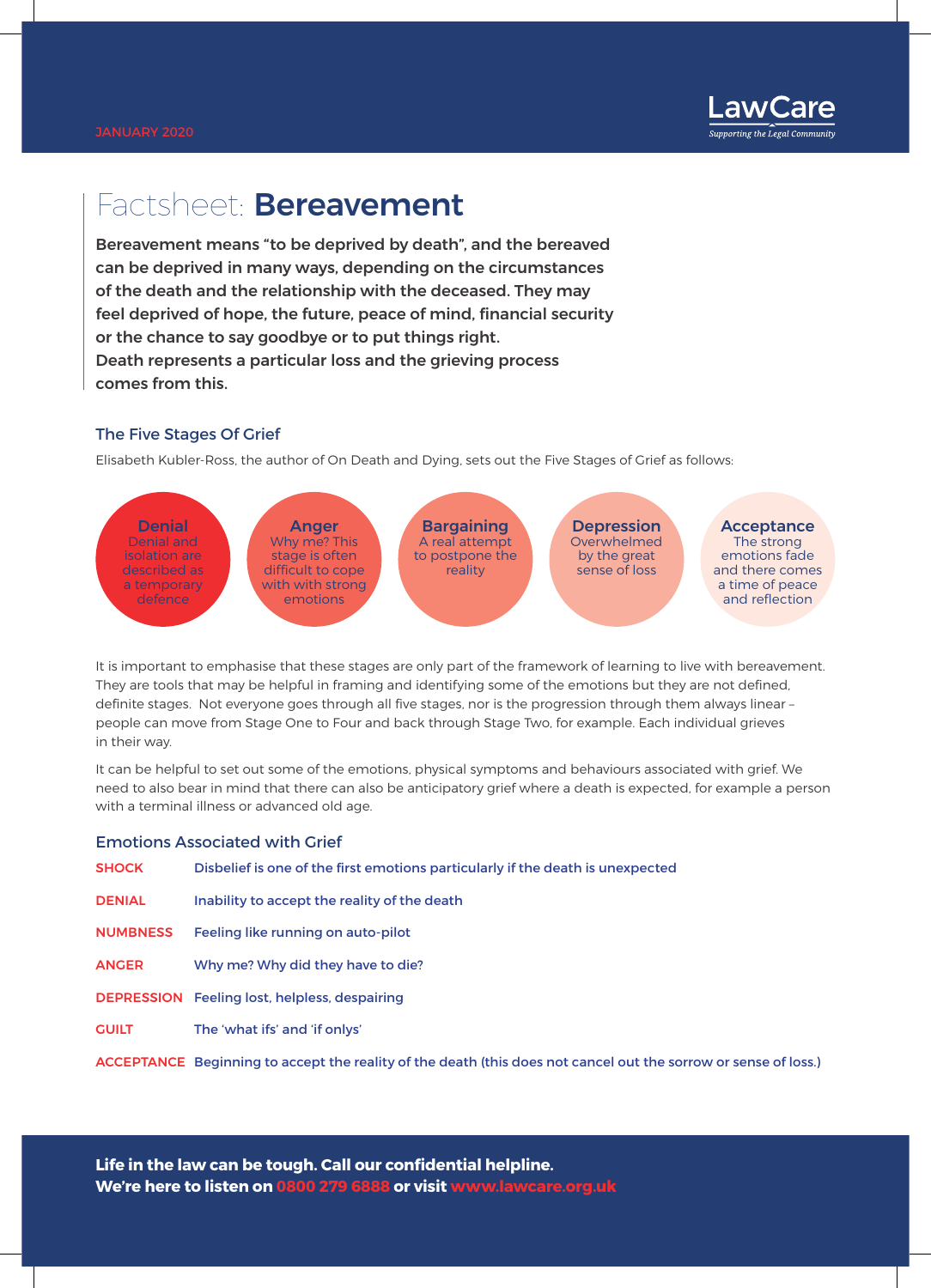

# Factsheet: **Bereavement**

Bereavement means "to be deprived by death", and the bereaved can be deprived in many ways, depending on the circumstances of the death and the relationship with the deceased. They may feel deprived of hope, the future, peace of mind, financial security or the chance to say goodbye or to put things right. Death represents a particular loss and the grieving process comes from this.

# The Five Stages Of Grief

Elisabeth Kubler-Ross, the author of On Death and Dying, sets out the Five Stages of Grief as follows:



It is important to emphasise that these stages are only part of the framework of learning to live with bereavement. They are tools that may be helpful in framing and identifying some of the emotions but they are not defined, definite stages. Not everyone goes through all five stages, nor is the progression through them always linear people can move from Stage One to Four and back through Stage Two, for example. Each individual grieves in their way.

It can be helpful to set out some of the emotions, physical symptoms and behaviours associated with grief. We need to also bear in mind that there can also be anticipatory grief where a death is expected, for example a person with a terminal illness or advanced old age.

# Emotions Associated with Grief

| <b>SHOCK</b>    | Disbelief is one of the first emotions particularly if the death is unexpected                                         |
|-----------------|------------------------------------------------------------------------------------------------------------------------|
| <b>DENIAL</b>   | Inability to accept the reality of the death                                                                           |
| <b>NUMBNESS</b> | Feeling like running on auto-pilot                                                                                     |
| <b>ANGER</b>    | Why me? Why did they have to die?                                                                                      |
|                 | <b>DEPRESSION</b> Feeling lost, helpless, despairing                                                                   |
| <b>GUILT</b>    | The 'what ifs' and 'if onlys'                                                                                          |
|                 | <b>ACCEPTANCE</b> Beginning to accept the reality of the death (this does not cancel out the sorrow or sense of loss.) |

Life in the law can be tough. Call our confidential helpline. **We're here to listen on 0800 279 6888 or visit www.lawcare.org.uk**